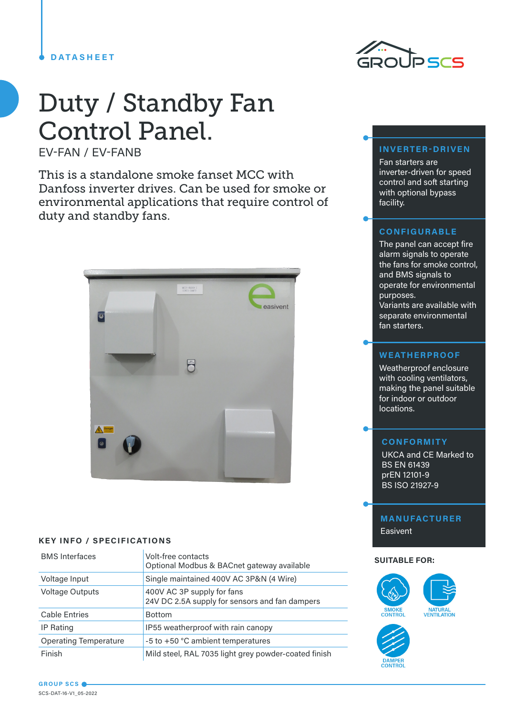## **DATASHEET**

# Duty / Standby Fan Control Panel.

EV-FAN / EV-FANB

This is a standalone smoke fanset MCC with Danfoss inverter drives. Can be used for smoke or environmental applications that require control of duty and standby fans.



## **KEY INFO / SPECIFICATIONS**

| <b>BMS</b> Interfaces        | Volt-free contacts<br>Optional Modbus & BACnet gateway available             |  |
|------------------------------|------------------------------------------------------------------------------|--|
| Voltage Input                | Single maintained 400V AC 3P&N (4 Wire)                                      |  |
| <b>Voltage Outputs</b>       | 400V AC 3P supply for fans<br>24V DC 2.5A supply for sensors and fan dampers |  |
| <b>Cable Entries</b>         | <b>Bottom</b>                                                                |  |
| IP Rating                    | IP55 weatherproof with rain canopy                                           |  |
| <b>Operating Temperature</b> | -5 to +50 °C ambient temperatures                                            |  |
| Finish                       | Mild steel, RAL 7035 light grey powder-coated finish                         |  |



# **INVERTER-DRIVEN**

Fan starters are inverter-driven for speed control and soft starting with optional bypass facility.

# **CONFIGURABLE**

The panel can accept fire alarm signals to operate the fans for smoke control, and BMS signals to operate for environmental purposes. Variants are available with separate environmental fan starters.

# **WEATHERPROOF**

Weatherproof enclosure with cooling ventilators, making the panel suitable for indoor or outdoor locations.

# **CONFORMITY**

UKCA and CE Marked to BS EN 61439 prEN 12101-9 BS ISO 21927-9

# **MANUFACTURER**

Easivent

#### **SUITABLE FOR:**



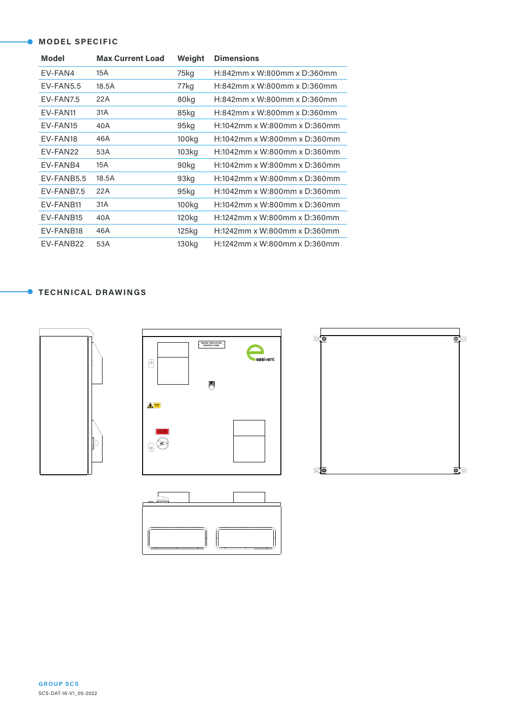## **MODEL SPECIFIC**

| <b>Model</b>         | <b>Max Current Load</b> | Weight            | <b>Dimensions</b>               |  |
|----------------------|-------------------------|-------------------|---------------------------------|--|
| EV-FAN4              | 15A                     | 75kg              | H:842mm x W:800mm x D:360mm     |  |
| $EV$ -FAN5.5         | 18.5A                   | 77kg              | H:842mm x W:800mm x D:360mm     |  |
| EV-FAN7.5            | 22A                     | 80kg              | H:842mm x W:800mm x D:360mm     |  |
| EV-FAN11             | 31A                     | 85kg              | H:842mm x W:800mm x D:360mm     |  |
| EV-FAN15             | 40A                     | 95kg              | H:1042mm x W:800mm x D:360mm    |  |
| EV-FAN18             | 46A                     | 100kg             | H:1042mm x W:800mm x D:360mm    |  |
| FV-FAN <sub>22</sub> | 53A                     | 103kg             | $H:1042$ mm x W:800mm x D:360mm |  |
| EV-FANB4             | 15A                     | 90kg              | H:1042mm x W:800mm x D:360mm    |  |
| FV-FANB5.5           | 18.5A                   | 93kg              | $H:1042$ mm x W:800mm x D:360mm |  |
| EV-FANB7.5           | 22A                     | 95 <sub>kg</sub>  | H:1042mm x W:800mm x D:360mm    |  |
| FV-FANB11            | 31A                     | 100kg             | $H:1042$ mm x W:800mm x D:360mm |  |
| EV-FANB15            | 40A                     | 120 <sub>kg</sub> | H:1242mm x W:800mm x D:360mm    |  |
| EV-FANB18            | 46A                     | 125kg             | H:1242mm x W:800mm x D:360mm    |  |
| EV-FANB22            | 53A                     | 130 <sub>kg</sub> | H:1242mm x W:800mm x D:360mm    |  |

# **TECHNICAL DRAWINGS**